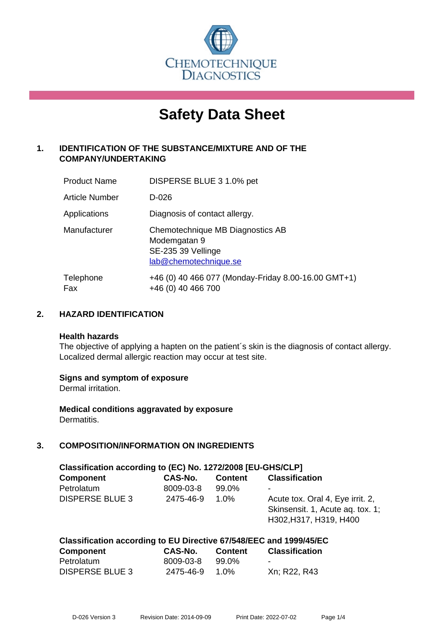

# **Safety Data Sheet**

# **1. IDENTIFICATION OF THE SUBSTANCE/MIXTURE AND OF THE COMPANY/UNDERTAKING**

| <b>Product Name</b>   | DISPERSE BLUE 3 1.0% pet                                                                        |
|-----------------------|-------------------------------------------------------------------------------------------------|
| <b>Article Number</b> | $D-026$                                                                                         |
| Applications          | Diagnosis of contact allergy.                                                                   |
| Manufacturer          | Chemotechnique MB Diagnostics AB<br>Modemgatan 9<br>SE-235 39 Vellinge<br>lab@chemotechnique.se |
| Telephone<br>Fax      | +46 (0) 40 466 077 (Monday-Friday 8.00-16.00 GMT+1)<br>+46 (0) 40 466 700                       |

## **2. HAZARD IDENTIFICATION**

#### **Health hazards**

The objective of applying a hapten on the patient's skin is the diagnosis of contact allergy. Localized dermal allergic reaction may occur at test site.

## **Signs and symptom of exposure**

Dermal irritation.

**Medical conditions aggravated by exposure** Dermatitis.

## **3. COMPOSITION/INFORMATION ON INGREDIENTS**

| Classification according to (EC) No. 1272/2008 [EU-GHS/CLP] |           |                |                                                                                                |  |  |
|-------------------------------------------------------------|-----------|----------------|------------------------------------------------------------------------------------------------|--|--|
| <b>Component</b>                                            | CAS-No.   | <b>Content</b> | <b>Classification</b>                                                                          |  |  |
| Petrolatum                                                  | 8009-03-8 | 99.0%          |                                                                                                |  |  |
| <b>DISPERSE BLUE 3</b>                                      | 2475-46-9 | $1.0\%$        | Acute tox. Oral 4, Eye irrit. 2,<br>Skinsensit. 1, Acute ag. tox. 1;<br>H302, H317, H319, H400 |  |  |

# **Classification according to EU Directive 67/548/EEC and 1999/45/EC Component CAS-No. Content Classification** Petrolatum 8009-03-8 99.0%

| <b>DISPERSE BLUE 3</b> | 2475-46-9 1.0% |  | Xn; R22, R43 |
|------------------------|----------------|--|--------------|
|------------------------|----------------|--|--------------|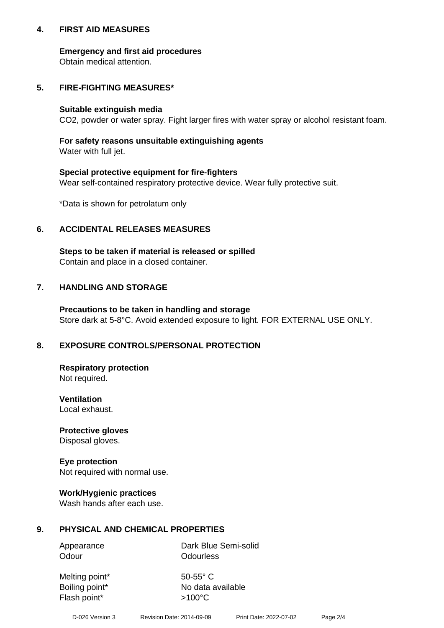## **4. FIRST AID MEASURES**

## **Emergency and first aid procedures**

Obtain medical attention.

# **5. FIRE-FIGHTING MEASURES\***

#### **Suitable extinguish media**

CO2, powder or water spray. Fight larger fires with water spray or alcohol resistant foam.

# **For safety reasons unsuitable extinguishing agents**

Water with full jet.

## **Special protective equipment for fire-fighters**

Wear self-contained respiratory protective device. Wear fully protective suit.

\*Data is shown for petrolatum only

## **6. ACCIDENTAL RELEASES MEASURES**

**Steps to be taken if material is released or spilled** Contain and place in a closed container.

# **7. HANDLING AND STORAGE**

**Precautions to be taken in handling and storage** Store dark at 5-8°C. Avoid extended exposure to light. FOR EXTERNAL USE ONLY.

# **8. EXPOSURE CONTROLS/PERSONAL PROTECTION**

**Respiratory protection** Not required.

**Ventilation** Local exhaust.

**Protective gloves** Disposal gloves.

#### **Eye protection** Not required with normal use.

## **Work/Hygienic practices**

Wash hands after each use.

## **9. PHYSICAL AND CHEMICAL PROPERTIES**

Odour **Odourless** 

Appearance Dark Blue Semi-solid

Melting point\* 50-55° C Flash point\*  $>100^{\circ}$ C

Boiling point\* No data available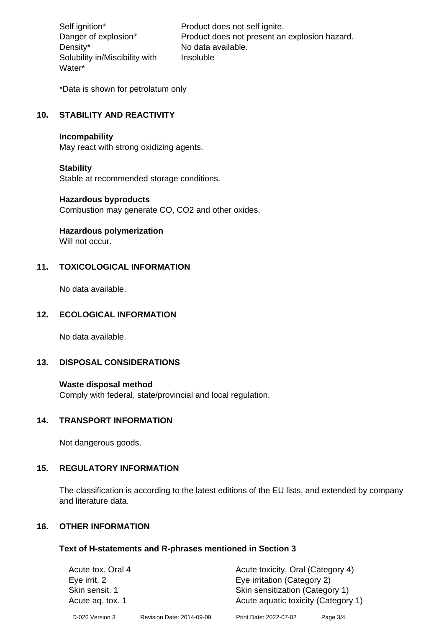Density\* No data available. Solubility in/Miscibility with Water\*

Self ignition\* Product does not self ignite. Danger of explosion\* Product does not present an explosion hazard. Insoluble

\*Data is shown for petrolatum only

# **10. STABILITY AND REACTIVITY**

#### **Incompability**

May react with strong oxidizing agents.

#### **Stability**

Stable at recommended storage conditions.

#### **Hazardous byproducts**

Combustion may generate CO, CO2 and other oxides.

**Hazardous polymerization**

Will not occur.

## **11. TOXICOLOGICAL INFORMATION**

No data available.

## **12. ECOLOGICAL INFORMATION**

No data available.

## **13. DISPOSAL CONSIDERATIONS**

#### **Waste disposal method**

Comply with federal, state/provincial and local regulation.

#### **14. TRANSPORT INFORMATION**

Not dangerous goods.

## **15. REGULATORY INFORMATION**

The classification is according to the latest editions of the EU lists, and extended by company and literature data.

#### **16. OTHER INFORMATION**

#### **Text of H-statements and R-phrases mentioned in Section 3**

| Acute tox. Oral 4 |                           | Acute toxicity, Oral (Category 4)   |          |  |
|-------------------|---------------------------|-------------------------------------|----------|--|
| Eye irrit. 2      |                           | Eye irritation (Category 2)         |          |  |
| Skin sensit. 1    |                           | Skin sensitization (Category 1)     |          |  |
| Acute ag. tox. 1  |                           | Acute aquatic toxicity (Category 1) |          |  |
| D-026 Version 3   | Revision Date: 2014-09-09 | Print Date: 2022-07-02              | Page 3/4 |  |